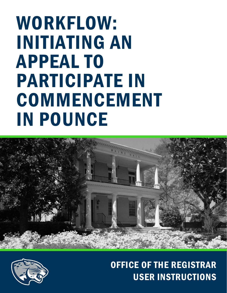# WORKFLOW: INITIATING AN APPEAL TO PARTICIPATE IN **COMMENCEMENT** IN POUNCE





# OFFICE OF THE REGISTRAR USER INSTRUCTIONS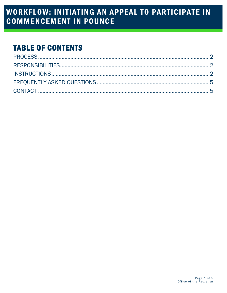# **WORKFLOW: INITIATING AN APPEAL TO PARTICIPATE IN COMMENCEMENT IN POUNCE**

### **TABLE OF CONTENTS**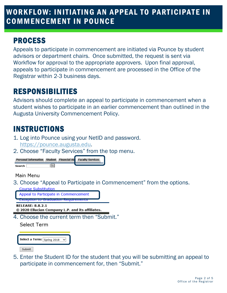### WORKFLOW: INITIATING AN APPEAL TO PARTICIPATE IN COMMENCEMENT IN POUNC E

### <span id="page-2-0"></span>PROCESS

Appeals to participate in commencement are initiated via Pounce by student advisors or department chairs. Once submitted, the request is sent via Workflow for approval to the appropriate approvers. Upon final approval, appeals to participate in commencement are processed in the Office of the Registrar within 2-3 business days.

# <span id="page-2-1"></span>RESPONSIBILITIES

Advisors should complete an appeal to participate in commencement when a student wishes to participate in an earlier commencement than outlined in the Augusta University Commencement Policy.

# <span id="page-2-2"></span>INSTRUCTIONS

- 1. Log into Pounce using your NetID and password. [https://pounce.augusta.edu.](https://pounce.augusta.edu/)
- 2. Choose "Faculty Services" from the top menu.



Main Menu

3. Choose "Appeal to Participate in Commencement" from the options.



© 2020 Ellucian Company L.P. and its affiliates.

4. Choose the current term then "Submit."

Select Term



Submit

l, 5. Enter the Student ID for the student that you will be submitting an appeal to participate in commencement for, then "Submit."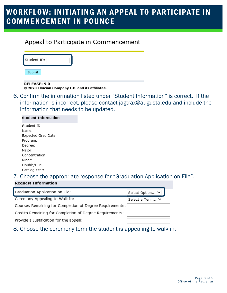### WORKFLOW: INITIATING AN APPEAL TO PARTICIPATE IN COMMENCEMENT IN POUNC E

### Appeal to Participate in Commencement

| Student ID: |  |
|-------------|--|
| Submit      |  |

#### **RELEASE: 9.0**

© 2020 Ellucian Company L.P. and its affiliates.

6. Confirm the information listed under "Student Information" is correct. If the information is incorrect, please contact [jagtrax@augusta.edu](mailto:jagtrax@augusta.edu) and include the information that needs to be updated.

| <b>Student Information</b> |
|----------------------------|
| Student ID:                |
| Name:                      |
| Expected Grad Date:        |
| Program:                   |
| Degree:                    |
| Major:                     |
| Concentration:             |
| Minor:                     |
| Double/Dual:               |
| Catalog Year:              |

### 7. Choose the appropriate response for "Graduation Application on File". **Request Information**

| Graduation Application on File:                          | Select Option V |
|----------------------------------------------------------|-----------------|
| Ceremony Appealing to Walk In:                           | Select a Term ∨ |
| Courses Remaining for Completion of Degree Requirements: |                 |
| Credits Remaining for Completion of Degree Requirements: |                 |
| Provide a Justification for the appeal:                  |                 |

8. Choose the ceremony term the student is appealing to walk in.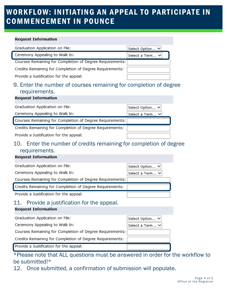# WORKFLOW: INITIATING AN APPEAL TO PARTICIPATE IN COMMENCEMENT IN POUNC E

#### **Request Information**

| Graduation Application on File:                          | Select Option V |
|----------------------------------------------------------|-----------------|
| Ceremony Appealing to Walk In:                           | Select a Term V |
| Courses Remaining for Completion of Degree Requirements: |                 |
| Credits Remaining for Completion of Degree Requirements: |                 |
| Provide a Justification for the appeal:                  |                 |
|                                                          |                 |

### 9. Enter the number of courses remaining for completion of degree requirements.

#### **Request Information**

| Graduation Application on File:                          | Select Option V |
|----------------------------------------------------------|-----------------|
| Ceremony Appealing to Walk In:                           | Select a Term ∨ |
| Courses Remaining for Completion of Degree Requirements: |                 |
| Credits Remaining for Completion of Degree Requirements: |                 |
| Provide a Justification for the appeal:                  |                 |

### 10. Enter the number of credits remaining for completion of degree requirements.

#### **Request Information**

| Graduation Application on File:                          | Select Option V |
|----------------------------------------------------------|-----------------|
| Ceremony Appealing to Walk In:                           | Select a Term V |
| Courses Remaining for Completion of Degree Requirements: |                 |
| Credits Remaining for Completion of Degree Requirements: |                 |
| Provide a Justification for the appeal:                  |                 |

### 11. Provide a justification for the appeal.

#### **Request Information**

| Graduation Application on File:                          | Select Option V |
|----------------------------------------------------------|-----------------|
| Ceremony Appealing to Walk In:                           | Select a Term V |
| Courses Remaining for Completion of Degree Requirements: |                 |
| Credits Remaining for Completion of Degree Requirements: |                 |
| Provide a Justification for the appeal:                  |                 |

\*Please note that ALL questions must be answered in order for the workflow to be submitted!\*

12. Once submitted, a confirmation of submission will populate.